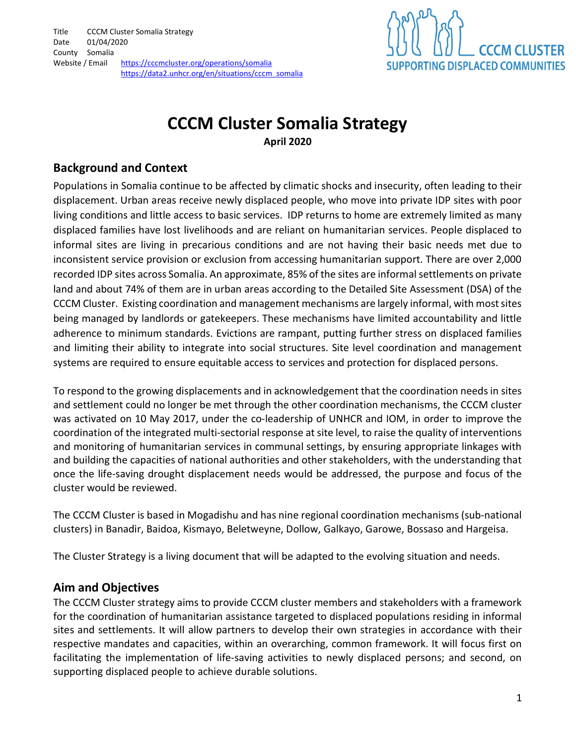

# CCCM Cluster Somalia Strategy

April 2020

### Background and Context

Populations in Somalia continue to be affected by climatic shocks and insecurity, often leading to their displacement. Urban areas receive newly displaced people, who move into private IDP sites with poor living conditions and little access to basic services. IDP returns to home are extremely limited as many displaced families have lost livelihoods and are reliant on humanitarian services. People displaced to informal sites are living in precarious conditions and are not having their basic needs met due to inconsistent service provision or exclusion from accessing humanitarian support. There are over 2,000 recorded IDP sites across Somalia. An approximate, 85% of the sites are informal settlements on private land and about 74% of them are in urban areas according to the Detailed Site Assessment (DSA) of the CCCM Cluster. Existing coordination and management mechanisms are largely informal, with most sites being managed by landlords or gatekeepers. These mechanisms have limited accountability and little adherence to minimum standards. Evictions are rampant, putting further stress on displaced families and limiting their ability to integrate into social structures. Site level coordination and management systems are required to ensure equitable access to services and protection for displaced persons.

To respond to the growing displacements and in acknowledgement that the coordination needs in sites and settlement could no longer be met through the other coordination mechanisms, the CCCM cluster was activated on 10 May 2017, under the co-leadership of UNHCR and IOM, in order to improve the coordination of the integrated multi-sectorial response at site level, to raise the quality of interventions and monitoring of humanitarian services in communal settings, by ensuring appropriate linkages with and building the capacities of national authorities and other stakeholders, with the understanding that once the life-saving drought displacement needs would be addressed, the purpose and focus of the cluster would be reviewed.

The CCCM Cluster is based in Mogadishu and has nine regional coordination mechanisms (sub-national clusters) in Banadir, Baidoa, Kismayo, Beletweyne, Dollow, Galkayo, Garowe, Bossaso and Hargeisa.

The Cluster Strategy is a living document that will be adapted to the evolving situation and needs.

### Aim and Objectives

The CCCM Cluster strategy aims to provide CCCM cluster members and stakeholders with a framework for the coordination of humanitarian assistance targeted to displaced populations residing in informal sites and settlements. It will allow partners to develop their own strategies in accordance with their respective mandates and capacities, within an overarching, common framework. It will focus first on facilitating the implementation of life-saving activities to newly displaced persons; and second, on supporting displaced people to achieve durable solutions.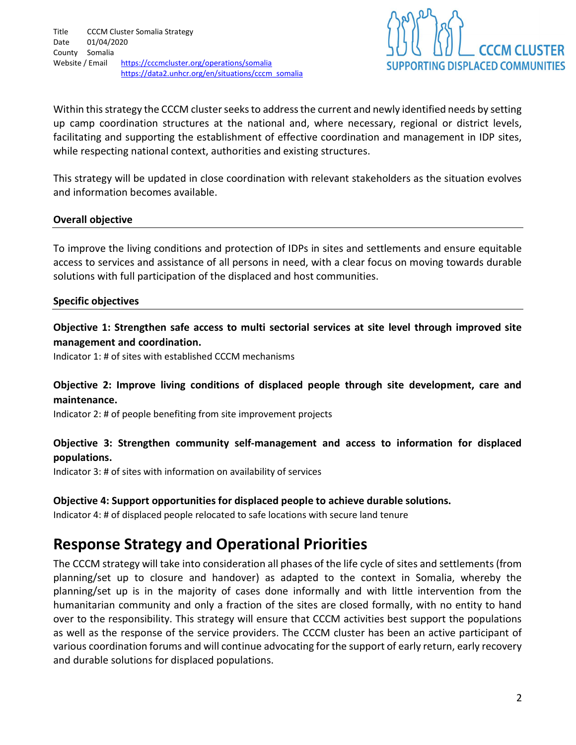

Within this strategy the CCCM cluster seeks to address the current and newly identified needs by setting up camp coordination structures at the national and, where necessary, regional or district levels, facilitating and supporting the establishment of effective coordination and management in IDP sites, while respecting national context, authorities and existing structures.

This strategy will be updated in close coordination with relevant stakeholders as the situation evolves and information becomes available.

#### Overall objective

To improve the living conditions and protection of IDPs in sites and settlements and ensure equitable access to services and assistance of all persons in need, with a clear focus on moving towards durable solutions with full participation of the displaced and host communities.

#### Specific objectives

Objective 1: Strengthen safe access to multi sectorial services at site level through improved site management and coordination.

Indicator 1: # of sites with established CCCM mechanisms

#### Objective 2: Improve living conditions of displaced people through site development, care and maintenance.

Indicator 2: # of people benefiting from site improvement projects

#### Objective 3: Strengthen community self-management and access to information for displaced populations.

Indicator 3: # of sites with information on availability of services

#### Objective 4: Support opportunities for displaced people to achieve durable solutions.

Indicator 4: # of displaced people relocated to safe locations with secure land tenure

### Response Strategy and Operational Priorities

The CCCM strategy will take into consideration all phases of the life cycle of sites and settlements (from planning/set up to closure and handover) as adapted to the context in Somalia, whereby the planning/set up is in the majority of cases done informally and with little intervention from the humanitarian community and only a fraction of the sites are closed formally, with no entity to hand over to the responsibility. This strategy will ensure that CCCM activities best support the populations as well as the response of the service providers. The CCCM cluster has been an active participant of various coordination forums and will continue advocating for the support of early return, early recovery and durable solutions for displaced populations.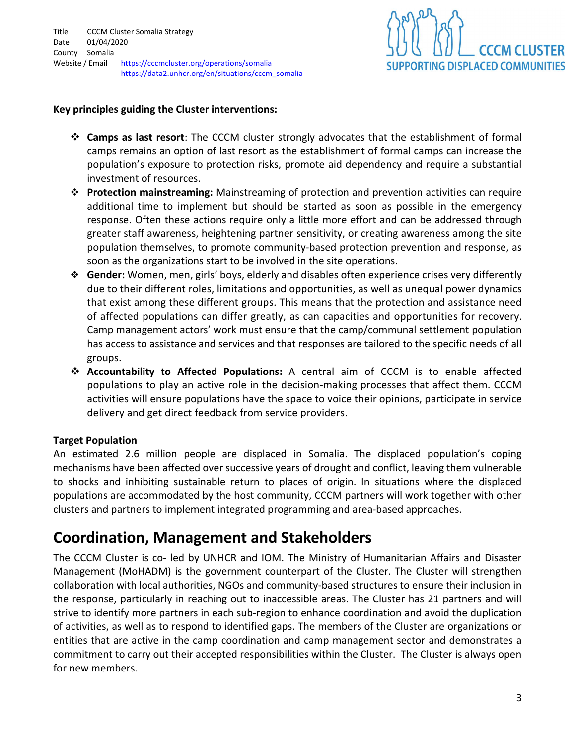

#### Key principles guiding the Cluster interventions:

- **\*** Camps as last resort: The CCCM cluster strongly advocates that the establishment of formal camps remains an option of last resort as the establishment of formal camps can increase the population's exposure to protection risks, promote aid dependency and require a substantial investment of resources.
- ❖ Protection mainstreaming: Mainstreaming of protection and prevention activities can require additional time to implement but should be started as soon as possible in the emergency response. Often these actions require only a little more effort and can be addressed through greater staff awareness, heightening partner sensitivity, or creating awareness among the site population themselves, to promote community-based protection prevention and response, as soon as the organizations start to be involved in the site operations.
- Gender: Women, men, girls' boys, elderly and disables often experience crises very differently due to their different roles, limitations and opportunities, as well as unequal power dynamics that exist among these different groups. This means that the protection and assistance need of affected populations can differ greatly, as can capacities and opportunities for recovery. Camp management actors' work must ensure that the camp/communal settlement population has access to assistance and services and that responses are tailored to the specific needs of all groups.
- Accountability to Affected Populations: A central aim of CCCM is to enable affected populations to play an active role in the decision-making processes that affect them. CCCM activities will ensure populations have the space to voice their opinions, participate in service delivery and get direct feedback from service providers.

#### Target Population

An estimated 2.6 million people are displaced in Somalia. The displaced population's coping mechanisms have been affected over successive years of drought and conflict, leaving them vulnerable to shocks and inhibiting sustainable return to places of origin. In situations where the displaced populations are accommodated by the host community, CCCM partners will work together with other clusters and partners to implement integrated programming and area-based approaches.

## Coordination, Management and Stakeholders

The CCCM Cluster is co- led by UNHCR and IOM. The Ministry of Humanitarian Affairs and Disaster Management (MoHADM) is the government counterpart of the Cluster. The Cluster will strengthen collaboration with local authorities, NGOs and community-based structures to ensure their inclusion in the response, particularly in reaching out to inaccessible areas. The Cluster has 21 partners and will strive to identify more partners in each sub-region to enhance coordination and avoid the duplication of activities, as well as to respond to identified gaps. The members of the Cluster are organizations or entities that are active in the camp coordination and camp management sector and demonstrates a commitment to carry out their accepted responsibilities within the Cluster. The Cluster is always open for new members.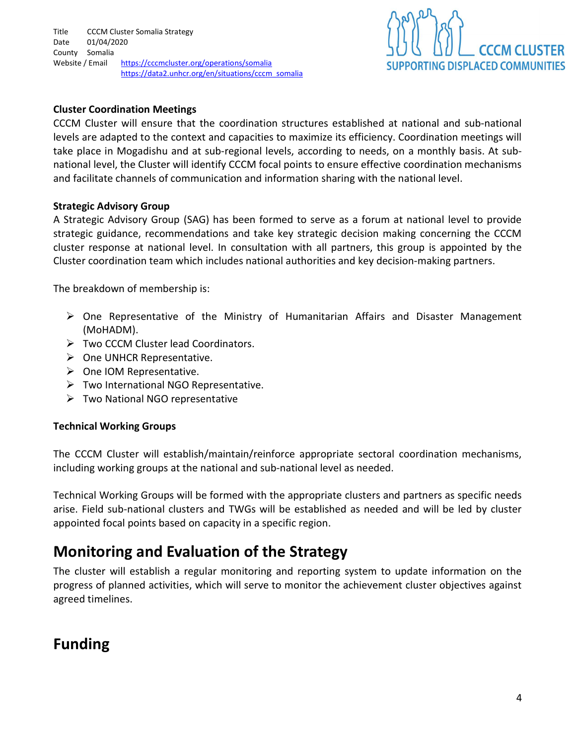

#### Cluster Coordination Meetings

CCCM Cluster will ensure that the coordination structures established at national and sub-national levels are adapted to the context and capacities to maximize its efficiency. Coordination meetings will take place in Mogadishu and at sub-regional levels, according to needs, on a monthly basis. At subnational level, the Cluster will identify CCCM focal points to ensure effective coordination mechanisms and facilitate channels of communication and information sharing with the national level.

#### Strategic Advisory Group

A Strategic Advisory Group (SAG) has been formed to serve as a forum at national level to provide strategic guidance, recommendations and take key strategic decision making concerning the CCCM cluster response at national level. In consultation with all partners, this group is appointed by the Cluster coordination team which includes national authorities and key decision-making partners.

The breakdown of membership is:

- One Representative of the Ministry of Humanitarian Affairs and Disaster Management (MoHADM).
- Two CCCM Cluster lead Coordinators.
- $\triangleright$  One UNHCR Representative.
- $\triangleright$  One IOM Representative.
- $\triangleright$  Two International NGO Representative.
- $\triangleright$  Two National NGO representative

#### Technical Working Groups

The CCCM Cluster will establish/maintain/reinforce appropriate sectoral coordination mechanisms, including working groups at the national and sub-national level as needed.

Technical Working Groups will be formed with the appropriate clusters and partners as specific needs arise. Field sub-national clusters and TWGs will be established as needed and will be led by cluster appointed focal points based on capacity in a specific region.

## Monitoring and Evaluation of the Strategy

The cluster will establish a regular monitoring and reporting system to update information on the progress of planned activities, which will serve to monitor the achievement cluster objectives against agreed timelines.

# Funding